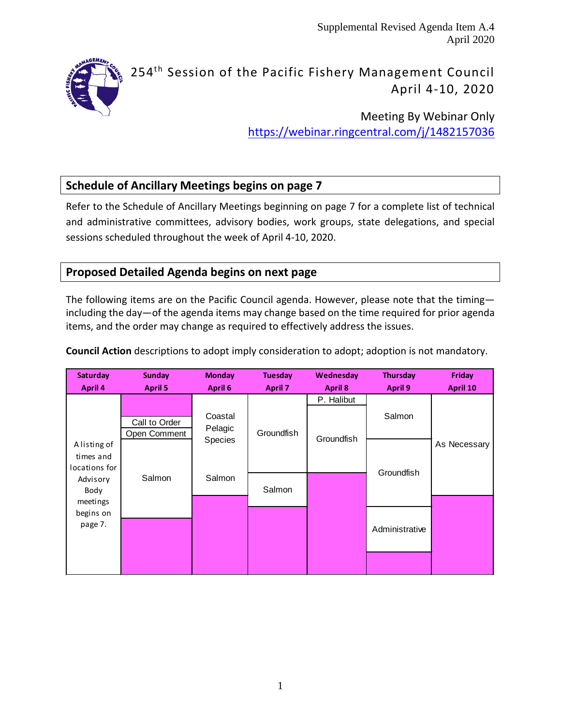Supplemental Revised Agenda Item A.4 April 2020



# 254<sup>th</sup> Session of the Pacific Fishery Management Council April 4-10, 2020

Meeting By Webinar Only <https://webinar.ringcentral.com/j/1482157036>

# **Schedule of Ancillary Meetings begins on page 7**

Refer to the Schedule of Ancillary Meetings beginning on page 7 for a complete list of technical and administrative committees, advisory bodies, work groups, state delegations, and special sessions scheduled throughout the week of April 4-10, 2020.

### **Proposed Detailed Agenda begins on next page**

The following items are on the Pacific Council agenda. However, please note that the timing including the day—of the agenda items may change based on the time required for prior agenda items, and the order may change as required to effectively address the issues.

| Saturday                                                       | <b>Sunday</b>                 | <b>Monday</b>            | <b>Tuesday</b> | Wednesday                | <b>Thursday</b> | Friday       |
|----------------------------------------------------------------|-------------------------------|--------------------------|----------------|--------------------------|-----------------|--------------|
| April 4                                                        | <b>April 5</b>                | April 6                  | <b>April 7</b> | <b>April 8</b>           | April 9         | April 10     |
|                                                                | Call to Order<br>Open Comment | Coastal<br>Pelagic       | Groundfish     | P. Halibut<br>Groundfish | Salmon          |              |
| A listing of<br>times and<br>locations for<br>Advisory<br>Body | Salmon                        | <b>Species</b><br>Salmon | Salmon         |                          | Groundfish      | As Necessary |
| meetings<br>begins on<br>page 7.                               |                               |                          |                |                          | Administrative  |              |

**Council Action** descriptions to adopt imply consideration to adopt; adoption is not mandatory.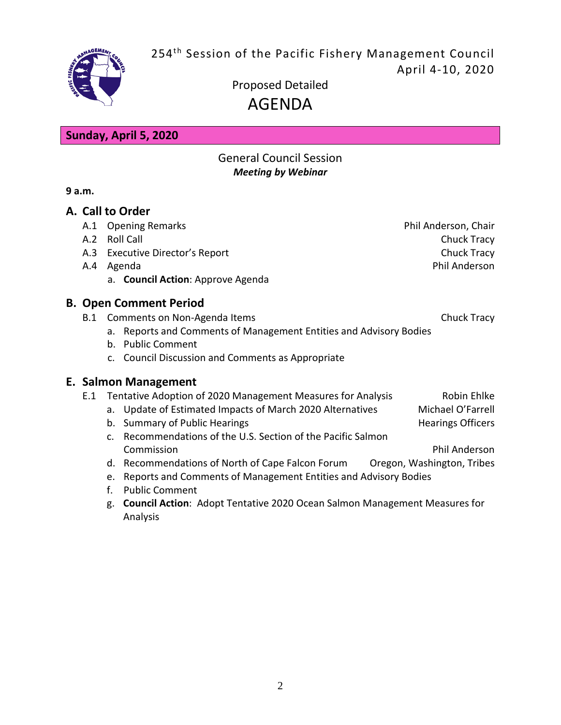254<sup>th</sup> Session of the Pacific Fishery Management Council April 4-10, 2020



Proposed Detailed AGENDA

**Sunday, April 5, 2020**

## General Council Session *Meeting by Webinar*

**9 a.m.**

## **A. Call to Order**

- A.1 Opening Remarks **Phil Anderson**, Chair
- 
- A.3 Executive Director's Report Chuck Tracy
- - a. **Council Action**: Approve Agenda

# **B. Open Comment Period**

- B.1 Comments on Non-Agenda Items Chuck Tracy
	- a. Reports and Comments of Management Entities and Advisory Bodies
	- b. Public Comment
	- c. Council Discussion and Comments as Appropriate

## **E. Salmon Management**

- E.1 Tentative Adoption of 2020 Management Measures for Analysis Robin Ehlke
	- a. Update of Estimated Impacts of March 2020 Alternatives Michael O'Farrell
	- b. Summary of Public Hearings **Hearings** Hearings Officers
	- c. Recommendations of the U.S. Section of the Pacific Salmon Commission Phil Anderson
	- d. Recommendations of North of Cape Falcon Forum Oregon, Washington, Tribes
	- e. Reports and Comments of Management Entities and Advisory Bodies
	- f. Public Comment
	- g. **Council Action**: Adopt Tentative 2020 Ocean Salmon Management Measures for Analysis

A.2 Roll Call **Chuck Tracy** A.4 Agenda **Phil Anderson**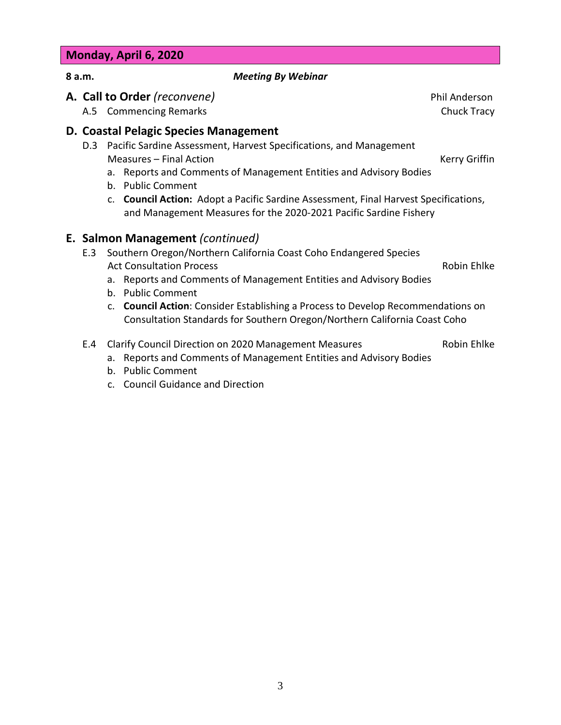#### **Monday, April 6, 2020**

#### **8 a.m.** *Meeting By Webinar*

**A. Call to Order** *(reconvene)* Phil Anderson

A.5 Commencing Remarks **Chuck Tracy** 

#### **D. Coastal Pelagic Species Management**

- D.3 Pacific Sardine Assessment, Harvest Specifications, and Management Measures – Final Action **Kerry Griffin** 
	- a. Reports and Comments of Management Entities and Advisory Bodies
	- b. Public Comment
	- c. **Council Action:** Adopt a Pacific Sardine Assessment, Final Harvest Specifications, and Management Measures for the 2020-2021 Pacific Sardine Fishery

#### **E. Salmon Management** *(continued)*

- E.3 Southern Oregon/Northern California Coast Coho Endangered Species Act Consultation Process **Robin Ehlke** Robin Ehlke
	- a. Reports and Comments of Management Entities and Advisory Bodies
	- b. Public Comment
	- c. **Council Action**: Consider Establishing a Process to Develop Recommendations on Consultation Standards for Southern Oregon/Northern California Coast Coho
- E.4 Clarify Council Direction on 2020 Management Measures **Richler Robin Ehlke**

- a. Reports and Comments of Management Entities and Advisory Bodies
- b. Public Comment
- c. Council Guidance and Direction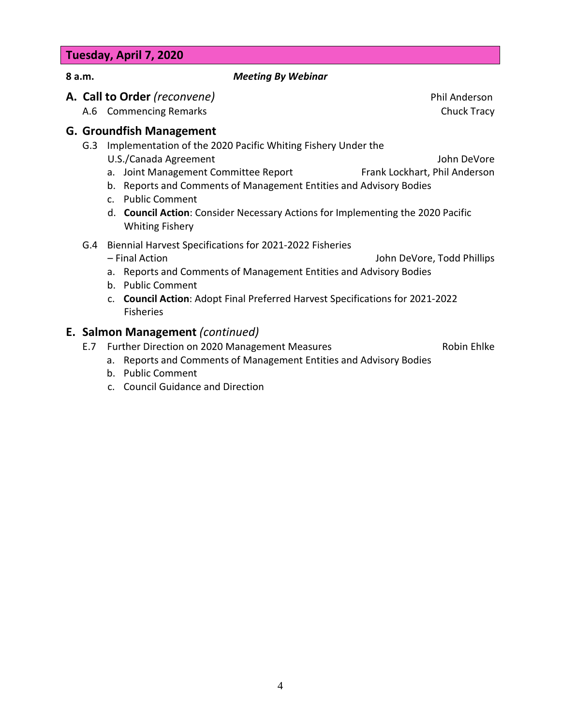#### **Tuesday, April 7, 2020**

#### **8 a.m.** *Meeting By Webinar*

**A. Call to Order** *(reconvene)* Phil Anderson

A.6 Commencing Remarks **Chuck Tracy** 

#### **G. Groundfish Management**

G.3 Implementation of the 2020 Pacific Whiting Fishery Under the

U.S./Canada Agreement John DeVore

- a. Joint Management Committee Report Frank Lockhart, Phil Anderson
- b. Reports and Comments of Management Entities and Advisory Bodies
- c. Public Comment
- d. **Council Action**: Consider Necessary Actions for Implementing the 2020 Pacific Whiting Fishery
- G.4 Biennial Harvest Specifications for 2021-2022 Fisheries

– Final Action John DeVore, Todd Phillips

- a. Reports and Comments of Management Entities and Advisory Bodies
- b. Public Comment
- c. **Council Action**: Adopt Final Preferred Harvest Specifications for 2021-2022 Fisheries

## **E. Salmon Management** *(continued)*

E.7 Further Direction on 2020 Management Measures **Election** Robin Ehlke

- a. Reports and Comments of Management Entities and Advisory Bodies
- b. Public Comment
- c. Council Guidance and Direction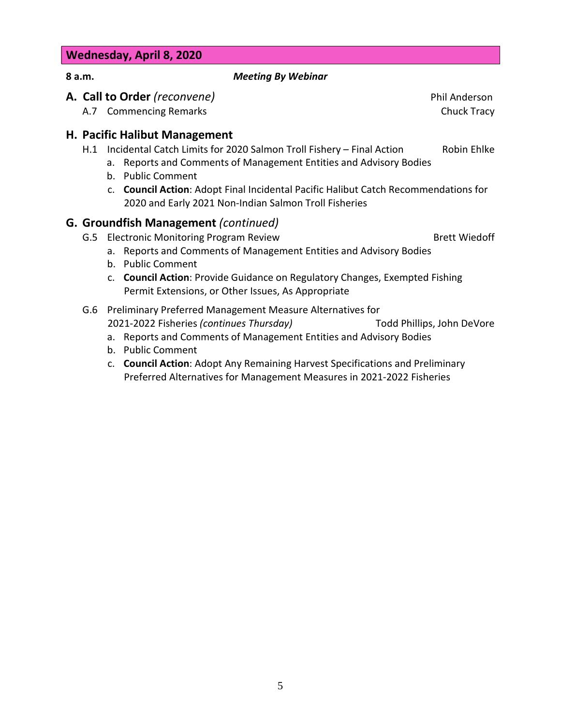#### **Wednesday, April 8, 2020**

#### **8 a.m.** *Meeting By Webinar*

**A. Call to Order** *(reconvene)* Phil Anderson

A.7 Commencing Remarks **Chuck Tracy** 

#### **H. Pacific Halibut Management**

- H.1 Incidental Catch Limits for 2020 Salmon Troll Fishery Final Action Robin Ehlke
	- a. Reports and Comments of Management Entities and Advisory Bodies
	- b. Public Comment
	- c. **Council Action**: Adopt Final Incidental Pacific Halibut Catch Recommendations for 2020 and Early 2021 Non-Indian Salmon Troll Fisheries

### **G. Groundfish Management** *(continued)*

- G.5 Electronic Monitoring Program Review Brett Wiedoff
	-
	- a. Reports and Comments of Management Entities and Advisory Bodies
	- b. Public Comment
	- c. **Council Action**: Provide Guidance on Regulatory Changes, Exempted Fishing Permit Extensions, or Other Issues, As Appropriate
- G.6 Preliminary Preferred Management Measure Alternatives for 2021-2022 Fisheries *(continues Thursday)* Todd Phillips, John DeVore
	- a. Reports and Comments of Management Entities and Advisory Bodies
	- b. Public Comment
	- c. **Council Action**: Adopt Any Remaining Harvest Specifications and Preliminary Preferred Alternatives for Management Measures in 2021-2022 Fisheries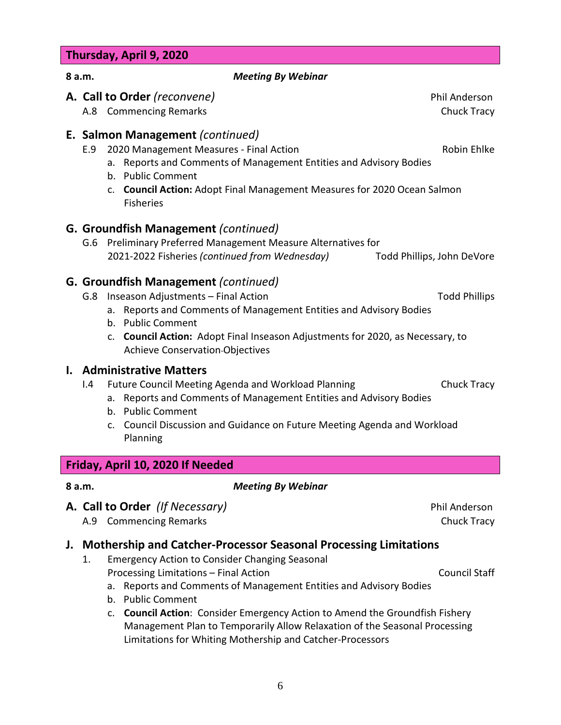#### **Thursday, April 9, 2020**

#### **8 a.m.** *Meeting By Webinar*

- **A. Call to Order** *(reconvene)* Phil Anderson
	- A.8 Commencing Remarks **Chuck Tracy** Chuck Tracy

#### **E. Salmon Management** *(continued)*

- E.9 2020 Management Measures Final Action Robin Ehlke
	- a. Reports and Comments of Management Entities and Advisory Bodies
	- b. Public Comment
	- c. **Council Action:** Adopt Final Management Measures for 2020 Ocean Salmon Fisheries

### **G. Groundfish Management** *(continued)*

G.6 Preliminary Preferred Management Measure Alternatives for 2021-2022 Fisheries *(continued from Wednesday)* Todd Phillips, John DeVore

### **G. Groundfish Management** *(continued)*

- G.8 Inseason Adjustments Final Action Todd Phillips Contact Todd Phillips
	- a. Reports and Comments of Management Entities and Advisory Bodies
	- b. Public Comment
	- c. **Council Action:** Adopt Final Inseason Adjustments for 2020, as Necessary, to Achieve Conservation Objectives

#### **I. Administrative Matters**

- I.4 Future Council Meeting Agenda and Workload Planning Chuck Tracy
	- a. Reports and Comments of Management Entities and Advisory Bodies
	- b. Public Comment
	- c. Council Discussion and Guidance on Future Meeting Agenda and Workload Planning

### **Friday, April 10, 2020 If Needed**

**A. Call to Order** *(If Necessary)* Phil Anderson

A.9 Commencing Remarks **Chuck Tracy** Chuck Tracy

### **J. Mothership and Catcher-Processor Seasonal Processing Limitations**

1. Emergency Action to Consider Changing Seasonal Processing Limitations – Final Action Council Staff Council Staff

**8 a.m.** *Meeting By Webinar*

- a. Reports and Comments of Management Entities and Advisory Bodies
- b. Public Comment
- c. **Council Action**: Consider Emergency Action to Amend the Groundfish Fishery Management Plan to Temporarily Allow Relaxation of the Seasonal Processing Limitations for Whiting Mothership and Catcher-Processors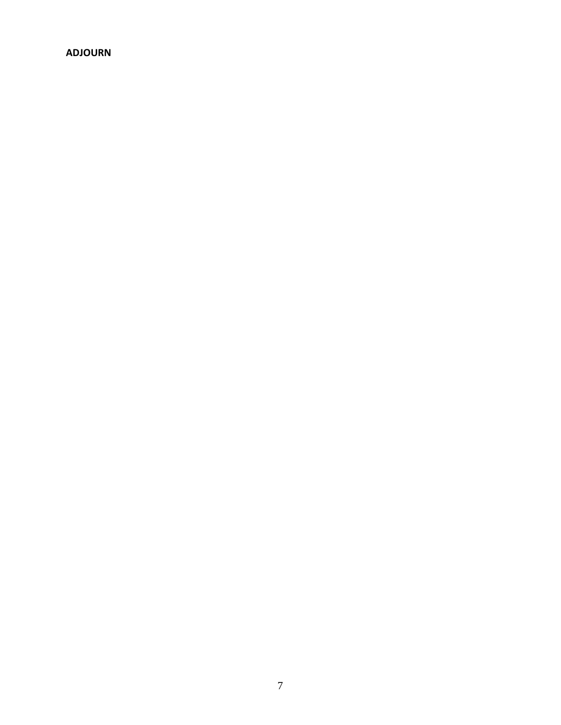#### **ADJOURN**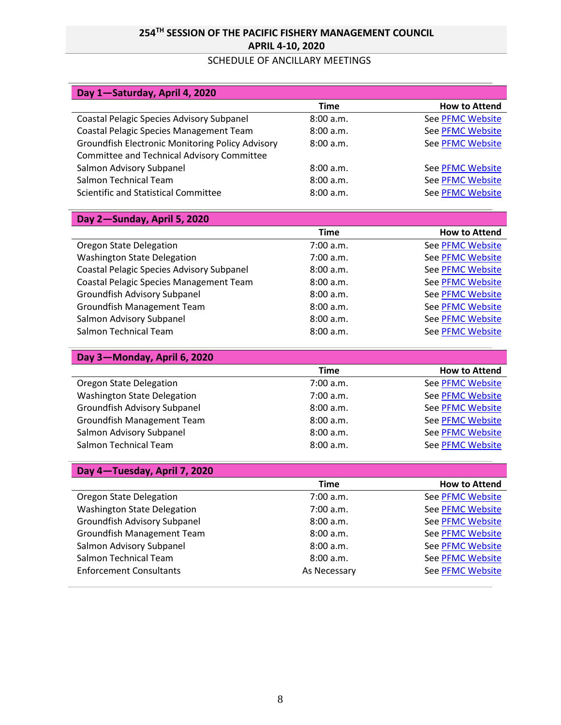# **254TH SESSION OF THE PACIFIC FISHERY MANAGEMENT COUNCIL APRIL 4-10, 2020**

#### SCHEDULE OF ANCILLARY MEETINGS

| Day 1-Saturday, April 4, 2020                           |             |                         |
|---------------------------------------------------------|-------------|-------------------------|
|                                                         | <b>Time</b> | <b>How to Attend</b>    |
| <b>Coastal Pelagic Species Advisory Subpanel</b>        | 8:00 a.m.   | <b>See PFMC Website</b> |
| Coastal Pelagic Species Management Team                 | 8:00 a.m.   | See PFMC Website        |
| <b>Groundfish Electronic Monitoring Policy Advisory</b> | 8:00 a.m.   | <b>See PFMC Website</b> |
| Committee and Technical Advisory Committee              |             |                         |
| Salmon Advisory Subpanel                                | 8:00a.m.    | See PFMC Website        |
| Salmon Technical Team                                   | 8:00 a.m.   | <b>See PFMC Website</b> |
| Scientific and Statistical Committee                    | 8:00 a.m.   | See PFMC Website        |

# **Day 2—Sunday, April 5, 2020**

**Day 3—Monday, April 6, 2020**

|                                                  | Time      | <b>How to Attend</b>    |
|--------------------------------------------------|-----------|-------------------------|
| Oregon State Delegation                          | 7:00 a.m. | <b>See PFMC Website</b> |
| <b>Washington State Delegation</b>               | 7:00 a.m. | <b>See PFMC Website</b> |
| <b>Coastal Pelagic Species Advisory Subpanel</b> | 8:00 a.m. | <b>See PFMC Website</b> |
| Coastal Pelagic Species Management Team          | 8:00 a.m. | <b>See PFMC Website</b> |
| Groundfish Advisory Subpanel                     | 8:00 a.m. | <b>See PFMC Website</b> |
| <b>Groundfish Management Team</b>                | 8:00 a.m. | <b>See PFMC Website</b> |
| Salmon Advisory Subpanel                         | 8:00 a.m. | <b>See PFMC Website</b> |
| Salmon Technical Team                            | 8:00 a.m. | <b>See PFMC Website</b> |

| Time      | <b>How to Attend</b>    |
|-----------|-------------------------|
| 7:00 a.m. | See PFMC Website        |
| 7:00 a.m. | <b>See PFMC Website</b> |
| 8:00 a.m. | <b>See PFMC Website</b> |
| 8:00 a.m. | <b>See PFMC Website</b> |
| 8:00 a.m. | <b>See PFMC Website</b> |
| 8:00 a.m. | <b>See PFMC Website</b> |
|           |                         |

| Day 4-Tuesday, April 7, 2020       |              |                         |
|------------------------------------|--------------|-------------------------|
|                                    | Time         | <b>How to Attend</b>    |
| Oregon State Delegation            | 7:00 a.m.    | <b>See PFMC Website</b> |
| <b>Washington State Delegation</b> | 7:00 a.m.    | <b>See PFMC Website</b> |
| Groundfish Advisory Subpanel       | 8:00 a.m.    | <b>See PFMC Website</b> |
| Groundfish Management Team         | 8:00a.m.     | <b>See PFMC Website</b> |
| Salmon Advisory Subpanel           | 8:00 a.m.    | <b>See PFMC Website</b> |
| Salmon Technical Team              | 8:00 a.m.    | <b>See PFMC Website</b> |
| <b>Enforcement Consultants</b>     | As Necessary | <b>See PFMC Website</b> |